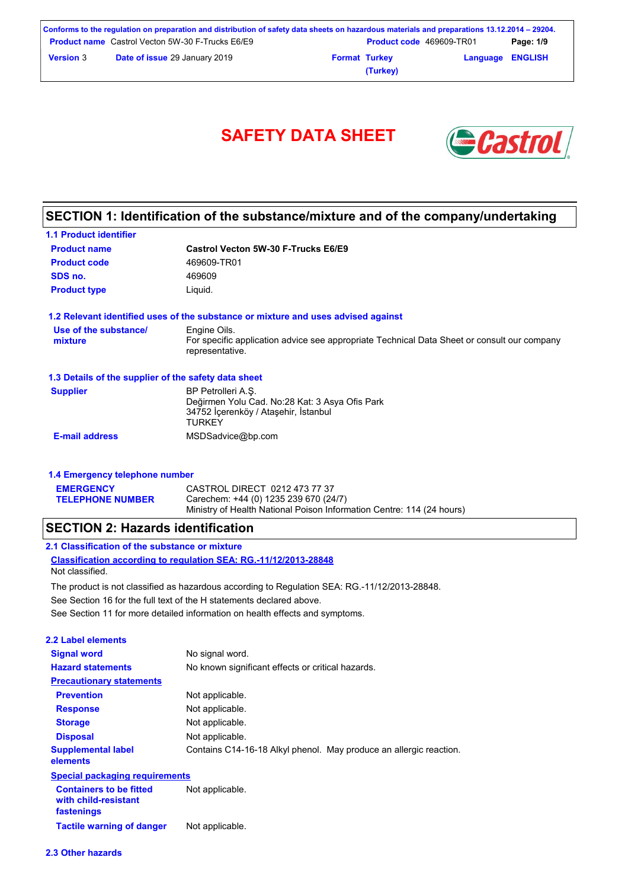| Conforms to the regulation on preparation and distribution of safety data sheets on hazardous materials and preparations 13.12.2014 – 29204. |                                                         |  |                                 |                         |           |
|----------------------------------------------------------------------------------------------------------------------------------------------|---------------------------------------------------------|--|---------------------------------|-------------------------|-----------|
|                                                                                                                                              | <b>Product name</b> Castrol Vecton 5W-30 F-Trucks E6/E9 |  | <b>Product code</b> 469609-TR01 |                         | Page: 1/9 |
| <b>Version 3</b>                                                                                                                             | <b>Date of issue 29 January 2019</b>                    |  | <b>Format Turkey</b>            | <b>Language ENGLISH</b> |           |

**(Turkey)**



## **SECTION 1: Identification of the substance/mixture and of the company/undertaking**

| <b>1.1 Product identifier</b>                        |                                                                                                                                |
|------------------------------------------------------|--------------------------------------------------------------------------------------------------------------------------------|
| <b>Product name</b>                                  | Castrol Vecton 5W-30 F-Trucks E6/E9                                                                                            |
| <b>Product code</b>                                  | 469609-TR01                                                                                                                    |
| SDS no.                                              | 469609                                                                                                                         |
| <b>Product type</b>                                  | Liquid.                                                                                                                        |
|                                                      | 1.2 Relevant identified uses of the substance or mixture and uses advised against                                              |
| Use of the substance/<br>mixture                     | Engine Oils.<br>For specific application advice see appropriate Technical Data Sheet or consult our company<br>representative. |
| 1.3 Details of the supplier of the safety data sheet |                                                                                                                                |
| <b>Supplier</b>                                      | BP Petrolleri A.S.<br>Değirmen Yolu Cad. No:28 Kat: 3 Asya Ofis Park<br>34752 İçerenköy / Ataşehir, İstanbul<br><b>TURKEY</b>  |
| <b>E-mail address</b>                                | MSDSadvice@bp.com                                                                                                              |

| 1.4 Emergency telephone number |                                                                                                                |  |  |  |
|--------------------------------|----------------------------------------------------------------------------------------------------------------|--|--|--|
| <b>EMERGENCY</b>               | CASTROL DIRECT 0212 473 77 37                                                                                  |  |  |  |
| <b>TELEPHONE NUMBER</b>        | Carechem: +44 (0) 1235 239 670 (24/7)<br>Ministry of Health National Poison Information Centre: 114 (24 hours) |  |  |  |

## **SECTION 2: Hazards identification**

| 2.2 Label elements                                                   |                                                                    |  |  |
|----------------------------------------------------------------------|--------------------------------------------------------------------|--|--|
| <b>Signal word</b>                                                   | No signal word.                                                    |  |  |
| <b>Hazard statements</b>                                             | No known significant effects or critical hazards.                  |  |  |
| <b>Precautionary statements</b>                                      |                                                                    |  |  |
| <b>Prevention</b>                                                    | Not applicable.                                                    |  |  |
| <b>Response</b>                                                      | Not applicable.                                                    |  |  |
| <b>Storage</b>                                                       | Not applicable.                                                    |  |  |
| <b>Disposal</b>                                                      | Not applicable.                                                    |  |  |
| <b>Supplemental label</b><br>elements                                | Contains C14-16-18 Alkyl phenol. May produce an allergic reaction. |  |  |
| <b>Special packaging requirements</b>                                |                                                                    |  |  |
| <b>Containers to be fitted</b><br>with child-resistant<br>fastenings | Not applicable.                                                    |  |  |
| <b>Tactile warning of danger</b>                                     | Not applicable.                                                    |  |  |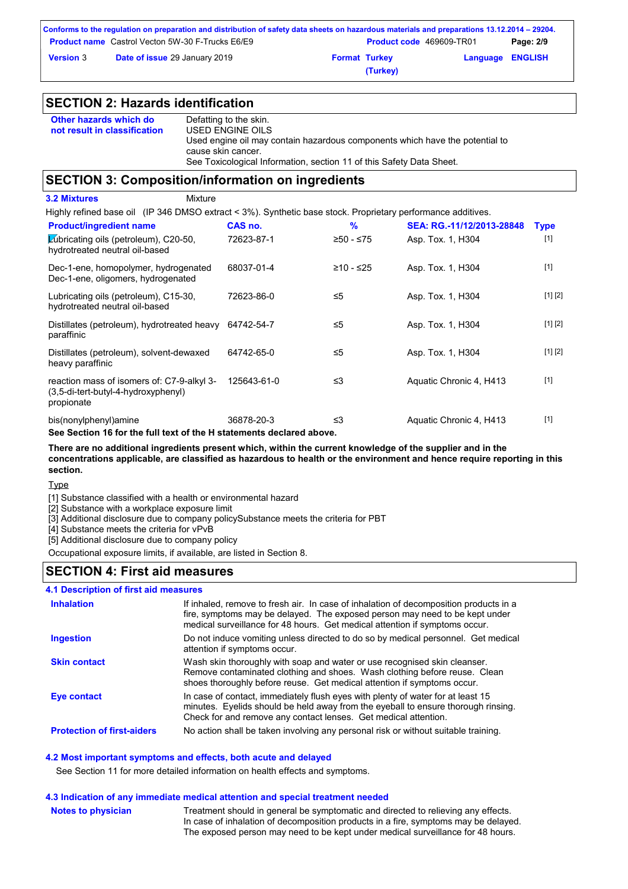|                  | Conforms to the regulation on preparation and distribution of safety data sheets on hazardous materials and preparations 13.12.2014 – 29204. |                      |                                 |                         |           |
|------------------|----------------------------------------------------------------------------------------------------------------------------------------------|----------------------|---------------------------------|-------------------------|-----------|
|                  | <b>Product name</b> Castrol Vecton 5W-30 F-Trucks E6/E9                                                                                      |                      | <b>Product code</b> 469609-TR01 |                         | Page: 2/9 |
| <b>Version</b> 3 | <b>Date of issue 29 January 2019</b>                                                                                                         | <b>Format Turkey</b> |                                 | <b>Language ENGLISH</b> |           |
|                  |                                                                                                                                              |                      | (Turkey)                        |                         |           |

## **SECTION 2: Hazards identification**

| Other hazards which do       | Defatting to the skin.                                                                             |
|------------------------------|----------------------------------------------------------------------------------------------------|
| not result in classification | USED ENGINE OILS                                                                                   |
|                              | Used engine oil may contain hazardous components which have the potential to<br>cause skin cancer. |
|                              | See Toxicological Information, section 11 of this Safety Data Sheet.                               |

### **SECTION 3: Composition/information on ingredients**

| Mixture<br><b>3.2 Mixtures</b>                                                                               |             |             |                           |             |
|--------------------------------------------------------------------------------------------------------------|-------------|-------------|---------------------------|-------------|
| Highly refined base oil (IP 346 DMSO extract < 3%). Synthetic base stock. Proprietary performance additives. |             |             |                           |             |
| <b>Product/ingredient name</b>                                                                               | CAS no.     | %           | SEA: RG.-11/12/2013-28848 | <b>Type</b> |
| Lubricating oils (petroleum), C20-50,<br>hydrotreated neutral oil-based                                      | 72623-87-1  | ≥50 - ≤75   | Asp. Tox. 1, H304         | $[1]$       |
| Dec-1-ene, homopolymer, hydrogenated<br>Dec-1-ene, oligomers, hydrogenated                                   | 68037-01-4  | $≥10 - ≤25$ | Asp. Tox. 1, H304         | $[1]$       |
| Lubricating oils (petroleum), C15-30,<br>hydrotreated neutral oil-based                                      | 72623-86-0  | ≤5          | Asp. Tox. 1, H304         | [1] [2]     |
| Distillates (petroleum), hydrotreated heavy<br>paraffinic                                                    | 64742-54-7  | ≤5          | Asp. Tox. 1, H304         | [1] [2]     |
| Distillates (petroleum), solvent-dewaxed<br>heavy paraffinic                                                 | 64742-65-0  | ≤5          | Asp. Tox. 1, H304         | [1] [2]     |
| reaction mass of isomers of: C7-9-alkyl 3-<br>(3,5-di-tert-butyl-4-hydroxyphenyl)<br>propionate              | 125643-61-0 | ≤3          | Aquatic Chronic 4, H413   | $[1]$       |
| bis(nonylphenyl)amine<br>See Section 16 for the full text of the H statements declared above.                | 36878-20-3  | $\leq$ 3    | Aquatic Chronic 4, H413   | $[1]$       |

**There are no additional ingredients present which, within the current knowledge of the supplier and in the concentrations applicable, are classified as hazardous to health or the environment and hence require reporting in this section.**

Type

[1] Substance classified with a health or environmental hazard

[2] Substance with a workplace exposure limit

[3] Additional disclosure due to company policySubstance meets the criteria for PBT

[4] Substance meets the criteria for vPvB

[5] Additional disclosure due to company policy

Occupational exposure limits, if available, are listed in Section 8.

### **SECTION 4: First aid measures**

### **4.1 Description of first aid measures**

| <b>Inhalation</b>                 | If inhaled, remove to fresh air. In case of inhalation of decomposition products in a<br>fire, symptoms may be delayed. The exposed person may need to be kept under<br>medical surveillance for 48 hours. Get medical attention if symptoms occur. |
|-----------------------------------|-----------------------------------------------------------------------------------------------------------------------------------------------------------------------------------------------------------------------------------------------------|
| <b>Ingestion</b>                  | Do not induce vomiting unless directed to do so by medical personnel. Get medical<br>attention if symptoms occur.                                                                                                                                   |
| <b>Skin contact</b>               | Wash skin thoroughly with soap and water or use recognised skin cleanser.<br>Remove contaminated clothing and shoes. Wash clothing before reuse. Clean<br>shoes thoroughly before reuse. Get medical attention if symptoms occur.                   |
| Eye contact                       | In case of contact, immediately flush eyes with plenty of water for at least 15<br>minutes. Eyelids should be held away from the eyeball to ensure thorough rinsing.<br>Check for and remove any contact lenses. Get medical attention.             |
| <b>Protection of first-aiders</b> | No action shall be taken involving any personal risk or without suitable training.                                                                                                                                                                  |

### **4.2 Most important symptoms and effects, both acute and delayed**

See Section 11 for more detailed information on health effects and symptoms.

#### **4.3 Indication of any immediate medical attention and special treatment needed**

**Notes to physician**

Treatment should in general be symptomatic and directed to relieving any effects. In case of inhalation of decomposition products in a fire, symptoms may be delayed. The exposed person may need to be kept under medical surveillance for 48 hours.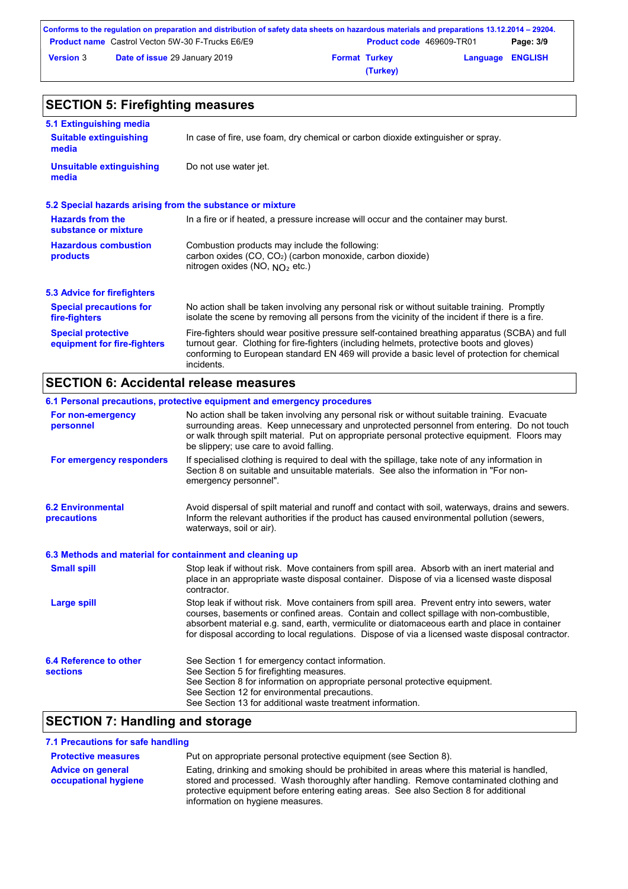|                  | Conforms to the regulation on preparation and distribution of safety data sheets on hazardous materials and preparations 13.12.2014 – 29204. |                      |                                 |                         |           |
|------------------|----------------------------------------------------------------------------------------------------------------------------------------------|----------------------|---------------------------------|-------------------------|-----------|
|                  | <b>Product name</b> Castrol Vecton 5W-30 F-Trucks E6/E9                                                                                      |                      | <b>Product code</b> 469609-TR01 |                         | Page: 3/9 |
| <b>Version 3</b> | <b>Date of issue 29 January 2019</b>                                                                                                         | <b>Format Turkey</b> |                                 | <b>Language ENGLISH</b> |           |
|                  |                                                                                                                                              |                      | (Turkey)                        |                         |           |

#### No action shall be taken involving any personal risk or without suitable training. Promptly isolate the scene by removing all persons from the vicinity of the incident if there is a fire. **Hazardous combustion products Hazards from the substance or mixture** Combustion products may include the following: carbon oxides (CO, CO2) (carbon monoxide, carbon dioxide) nitrogen oxides (NO, NO₂ etc.) In a fire or if heated, a pressure increase will occur and the container may burst. Fire-fighters should wear positive pressure self-contained breathing apparatus (SCBA) and full turnout gear. Clothing for fire-fighters (including helmets, protective boots and gloves) conforming to European standard EN 469 will provide a basic level of protection for chemical incidents. **Special protective equipment for fire-fighters** In case of fire, use foam, dry chemical or carbon dioxide extinguisher or spray. **5.1 Extinguishing media** Do not use water jet. **Suitable extinguishing media Unsuitable extinguishing media SECTION 5: Firefighting measures 5.2 Special hazards arising from the substance or mixture 5.3 Advice for firefighters Special precautions for fire-fighters**

## **SECTION 6: Accidental release measures**

|                                                          | 6.1 Personal precautions, protective equipment and emergency procedures                                                                                                                                                                                                                                                                                                                        |
|----------------------------------------------------------|------------------------------------------------------------------------------------------------------------------------------------------------------------------------------------------------------------------------------------------------------------------------------------------------------------------------------------------------------------------------------------------------|
| For non-emergency<br>personnel                           | No action shall be taken involving any personal risk or without suitable training. Evacuate<br>surrounding areas. Keep unnecessary and unprotected personnel from entering. Do not touch<br>or walk through spilt material. Put on appropriate personal protective equipment. Floors may<br>be slippery; use care to avoid falling.                                                            |
| For emergency responders                                 | If specialised clothing is required to deal with the spillage, take note of any information in<br>Section 8 on suitable and unsuitable materials. See also the information in "For non-<br>emergency personnel".                                                                                                                                                                               |
| <b>6.2 Environmental</b><br>precautions                  | Avoid dispersal of spilt material and runoff and contact with soil, waterways, drains and sewers.<br>Inform the relevant authorities if the product has caused environmental pollution (sewers,<br>waterways, soil or air).                                                                                                                                                                    |
| 6.3 Methods and material for containment and cleaning up |                                                                                                                                                                                                                                                                                                                                                                                                |
| <b>Small spill</b>                                       | Stop leak if without risk. Move containers from spill area. Absorb with an inert material and<br>place in an appropriate waste disposal container. Dispose of via a licensed waste disposal<br>contractor.                                                                                                                                                                                     |
| <b>Large spill</b>                                       | Stop leak if without risk. Move containers from spill area. Prevent entry into sewers, water<br>courses, basements or confined areas. Contain and collect spillage with non-combustible,<br>absorbent material e.g. sand, earth, vermiculite or diatomaceous earth and place in container<br>for disposal according to local regulations. Dispose of via a licensed waste disposal contractor. |
| 6.4 Reference to other<br><b>sections</b>                | See Section 1 for emergency contact information.<br>See Section 5 for firefighting measures.<br>See Section 8 for information on appropriate personal protective equipment.<br>See Section 12 for environmental precautions.<br>See Section 13 for additional waste treatment information.                                                                                                     |

## **SECTION 7: Handling and storage**

### **7.1 Precautions for safe handling**

| <b>Protective measures</b> | Put on appropriate personal protective equipment (see Section 8).                                                                                                                                                  |
|----------------------------|--------------------------------------------------------------------------------------------------------------------------------------------------------------------------------------------------------------------|
| <b>Advice on general</b>   | Eating, drinking and smoking should be prohibited in areas where this material is handled.                                                                                                                         |
| occupational hygiene       | stored and processed. Wash thoroughly after handling. Remove contaminated clothing and<br>protective equipment before entering eating areas. See also Section 8 for additional<br>information on hygiene measures. |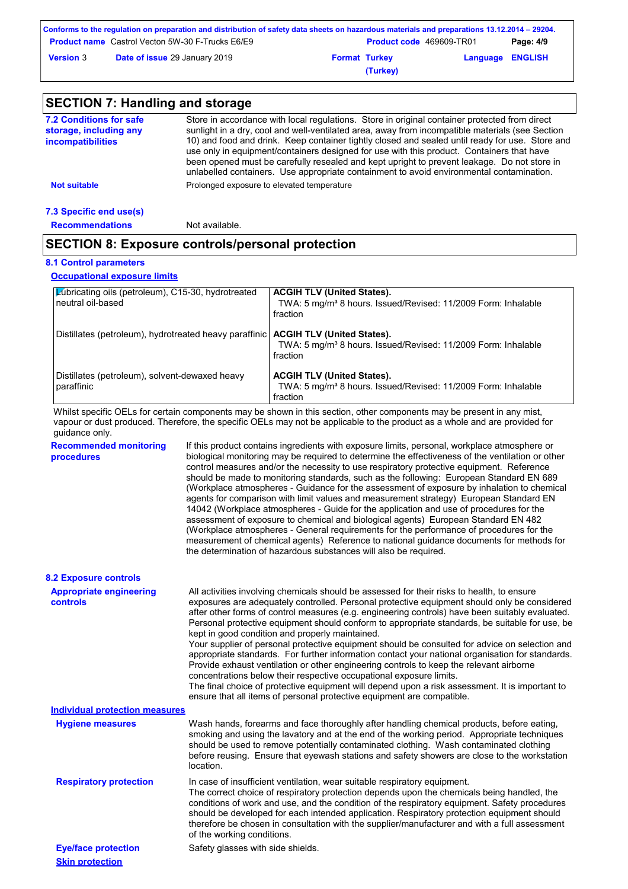|                  | Conforms to the regulation on preparation and distribution of safety data sheets on hazardous materials and preparations 13.12.2014 – 29204. |                      |                                 |                         |           |
|------------------|----------------------------------------------------------------------------------------------------------------------------------------------|----------------------|---------------------------------|-------------------------|-----------|
|                  | <b>Product name</b> Castrol Vecton 5W-30 F-Trucks E6/E9                                                                                      |                      | <b>Product code</b> 469609-TR01 |                         | Page: 4/9 |
| <b>Version 3</b> | <b>Date of issue 29 January 2019</b>                                                                                                         | <b>Format Turkey</b> |                                 | <b>Language ENGLISH</b> |           |
|                  |                                                                                                                                              |                      | (Turkey)                        |                         |           |

| <b>SECTION 7: Handling and storage</b>                                               |                                                                                                                                                                                                                                                                                                                                                                                                                                                                                                                                                                                             |                                                                                                                                                                                                                                                                                                                                                                                                                                                                                                                                                                                                                                                                                                                                                                  |  |  |
|--------------------------------------------------------------------------------------|---------------------------------------------------------------------------------------------------------------------------------------------------------------------------------------------------------------------------------------------------------------------------------------------------------------------------------------------------------------------------------------------------------------------------------------------------------------------------------------------------------------------------------------------------------------------------------------------|------------------------------------------------------------------------------------------------------------------------------------------------------------------------------------------------------------------------------------------------------------------------------------------------------------------------------------------------------------------------------------------------------------------------------------------------------------------------------------------------------------------------------------------------------------------------------------------------------------------------------------------------------------------------------------------------------------------------------------------------------------------|--|--|
| <b>7.2 Conditions for safe</b><br>storage, including any<br><b>incompatibilities</b> | Store in accordance with local regulations. Store in original container protected from direct<br>sunlight in a dry, cool and well-ventilated area, away from incompatible materials (see Section<br>10) and food and drink. Keep container tightly closed and sealed until ready for use. Store and<br>use only in equipment/containers designed for use with this product. Containers that have<br>been opened must be carefully resealed and kept upright to prevent leakage. Do not store in<br>unlabelled containers. Use appropriate containment to avoid environmental contamination. |                                                                                                                                                                                                                                                                                                                                                                                                                                                                                                                                                                                                                                                                                                                                                                  |  |  |
| <b>Not suitable</b>                                                                  |                                                                                                                                                                                                                                                                                                                                                                                                                                                                                                                                                                                             | Prolonged exposure to elevated temperature                                                                                                                                                                                                                                                                                                                                                                                                                                                                                                                                                                                                                                                                                                                       |  |  |
| 7.3 Specific end use(s)                                                              |                                                                                                                                                                                                                                                                                                                                                                                                                                                                                                                                                                                             |                                                                                                                                                                                                                                                                                                                                                                                                                                                                                                                                                                                                                                                                                                                                                                  |  |  |
| <b>Recommendations</b>                                                               | Not available.                                                                                                                                                                                                                                                                                                                                                                                                                                                                                                                                                                              |                                                                                                                                                                                                                                                                                                                                                                                                                                                                                                                                                                                                                                                                                                                                                                  |  |  |
| <b>SECTION 8: Exposure controls/personal protection</b>                              |                                                                                                                                                                                                                                                                                                                                                                                                                                                                                                                                                                                             |                                                                                                                                                                                                                                                                                                                                                                                                                                                                                                                                                                                                                                                                                                                                                                  |  |  |
| <b>8.1 Control parameters</b>                                                        |                                                                                                                                                                                                                                                                                                                                                                                                                                                                                                                                                                                             |                                                                                                                                                                                                                                                                                                                                                                                                                                                                                                                                                                                                                                                                                                                                                                  |  |  |
| <b>Occupational exposure limits</b>                                                  |                                                                                                                                                                                                                                                                                                                                                                                                                                                                                                                                                                                             |                                                                                                                                                                                                                                                                                                                                                                                                                                                                                                                                                                                                                                                                                                                                                                  |  |  |
| Lubricating oils (petroleum), C15-30, hydrotreated<br>neutral oil-based              |                                                                                                                                                                                                                                                                                                                                                                                                                                                                                                                                                                                             | <b>ACGIH TLV (United States).</b><br>TWA: 5 mg/m <sup>3</sup> 8 hours. Issued/Revised: 11/2009 Form: Inhalable<br>fraction                                                                                                                                                                                                                                                                                                                                                                                                                                                                                                                                                                                                                                       |  |  |
| Distillates (petroleum), hydrotreated heavy paraffinic                               |                                                                                                                                                                                                                                                                                                                                                                                                                                                                                                                                                                                             | <b>ACGIH TLV (United States).</b><br>TWA: 5 mg/m <sup>3</sup> 8 hours. Issued/Revised: 11/2009 Form: Inhalable<br>fraction                                                                                                                                                                                                                                                                                                                                                                                                                                                                                                                                                                                                                                       |  |  |
| Distillates (petroleum), solvent-dewaxed heavy<br>paraffinic                         |                                                                                                                                                                                                                                                                                                                                                                                                                                                                                                                                                                                             | <b>ACGIH TLV (United States).</b><br>TWA: 5 mg/m <sup>3</sup> 8 hours. Issued/Revised: 11/2009 Form: Inhalable<br>fraction                                                                                                                                                                                                                                                                                                                                                                                                                                                                                                                                                                                                                                       |  |  |
| guidance only.                                                                       |                                                                                                                                                                                                                                                                                                                                                                                                                                                                                                                                                                                             | Whilst specific OELs for certain components may be shown in this section, other components may be present in any mist,<br>vapour or dust produced. Therefore, the specific OELs may not be applicable to the product as a whole and are provided for                                                                                                                                                                                                                                                                                                                                                                                                                                                                                                             |  |  |
| <b>Recommended monitoring</b><br>procedures                                          |                                                                                                                                                                                                                                                                                                                                                                                                                                                                                                                                                                                             | If this product contains ingredients with exposure limits, personal, workplace atmosphere or<br>biological monitoring may be required to determine the effectiveness of the ventilation or other<br>control measures and/or the necessity to use respiratory protective equipment. Reference<br>should be made to monitoring standards, such as the following: European Standard EN 689<br>(Workplace atmospheres - Guidance for the assessment of exposure by inhalation to chemical<br>agents for comparison with limit values and measurement strategy) European Standard EN<br>14042 (Workplace atmospheres - Guide for the application and use of procedures for the<br>assessment of exposure to chemical and biological agents). European Standard EN 482 |  |  |

assessment of exposure to chemical and biological agents) European Standard EN 482 (Workplace atmospheres - General requirements for the performance of procedures for the measurement of chemical agents) Reference to national guidance documents for methods for the determination of hazardous substances will also be required.

| <b>8.2 Exposure controls</b>               |                                                                                                                                                                                                                                                                                                                                                                                                                                                                                                                                                                                                                                                                                                                                                                                                                                                                                                                                                                                                         |
|--------------------------------------------|---------------------------------------------------------------------------------------------------------------------------------------------------------------------------------------------------------------------------------------------------------------------------------------------------------------------------------------------------------------------------------------------------------------------------------------------------------------------------------------------------------------------------------------------------------------------------------------------------------------------------------------------------------------------------------------------------------------------------------------------------------------------------------------------------------------------------------------------------------------------------------------------------------------------------------------------------------------------------------------------------------|
| <b>Appropriate engineering</b><br>controls | All activities involving chemicals should be assessed for their risks to health, to ensure<br>exposures are adequately controlled. Personal protective equipment should only be considered<br>after other forms of control measures (e.g. engineering controls) have been suitably evaluated.<br>Personal protective equipment should conform to appropriate standards, be suitable for use, be<br>kept in good condition and properly maintained.<br>Your supplier of personal protective equipment should be consulted for advice on selection and<br>appropriate standards. For further information contact your national organisation for standards.<br>Provide exhaust ventilation or other engineering controls to keep the relevant airborne<br>concentrations below their respective occupational exposure limits.<br>The final choice of protective equipment will depend upon a risk assessment. It is important to<br>ensure that all items of personal protective equipment are compatible. |
| Individual protection measures             |                                                                                                                                                                                                                                                                                                                                                                                                                                                                                                                                                                                                                                                                                                                                                                                                                                                                                                                                                                                                         |

| ingividual protection measures |                                                                                                                                                                                                                                                                                                                                                                                                                                                                                                       |
|--------------------------------|-------------------------------------------------------------------------------------------------------------------------------------------------------------------------------------------------------------------------------------------------------------------------------------------------------------------------------------------------------------------------------------------------------------------------------------------------------------------------------------------------------|
| <b>Hygiene measures</b>        | Wash hands, forearms and face thoroughly after handling chemical products, before eating,<br>smoking and using the lavatory and at the end of the working period. Appropriate techniques<br>should be used to remove potentially contaminated clothing. Wash contaminated clothing<br>before reusing. Ensure that eyewash stations and safety showers are close to the workstation<br>location.                                                                                                       |
| <b>Respiratory protection</b>  | In case of insufficient ventilation, wear suitable respiratory equipment.<br>The correct choice of respiratory protection depends upon the chemicals being handled, the<br>conditions of work and use, and the condition of the respiratory equipment. Safety procedures<br>should be developed for each intended application. Respiratory protection equipment should<br>therefore be chosen in consultation with the supplier/manufacturer and with a full assessment<br>of the working conditions. |
| <b>Eye/face protection</b>     | Safety glasses with side shields.                                                                                                                                                                                                                                                                                                                                                                                                                                                                     |
| <b>Skin protection</b>         |                                                                                                                                                                                                                                                                                                                                                                                                                                                                                                       |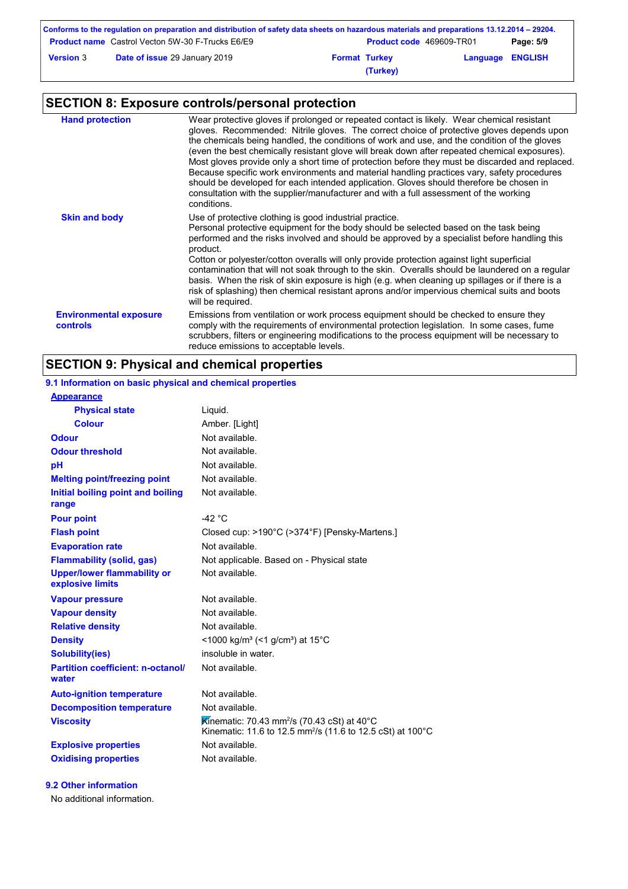|                  | Conforms to the regulation on preparation and distribution of safety data sheets on hazardous materials and preparations 13.12.2014 – 29204. |                      |                                 |                         |           |
|------------------|----------------------------------------------------------------------------------------------------------------------------------------------|----------------------|---------------------------------|-------------------------|-----------|
|                  | <b>Product name</b> Castrol Vecton 5W-30 F-Trucks E6/E9                                                                                      |                      | <b>Product code</b> 469609-TR01 |                         | Page: 5/9 |
| <b>Version 3</b> | <b>Date of issue 29 January 2019</b>                                                                                                         | <b>Format Turkey</b> |                                 | <b>Language ENGLISH</b> |           |
|                  |                                                                                                                                              |                      | (Turkey)                        |                         |           |

## **SECTION 8: Exposure controls/personal protection**

| <b>Hand protection</b>                    | Wear protective gloves if prolonged or repeated contact is likely. Wear chemical resistant<br>gloves. Recommended: Nitrile gloves. The correct choice of protective gloves depends upon<br>the chemicals being handled, the conditions of work and use, and the condition of the gloves<br>(even the best chemically resistant glove will break down after repeated chemical exposures).<br>Most gloves provide only a short time of protection before they must be discarded and replaced.<br>Because specific work environments and material handling practices vary, safety procedures<br>should be developed for each intended application. Gloves should therefore be chosen in<br>consultation with the supplier/manufacturer and with a full assessment of the working<br>conditions. |
|-------------------------------------------|----------------------------------------------------------------------------------------------------------------------------------------------------------------------------------------------------------------------------------------------------------------------------------------------------------------------------------------------------------------------------------------------------------------------------------------------------------------------------------------------------------------------------------------------------------------------------------------------------------------------------------------------------------------------------------------------------------------------------------------------------------------------------------------------|
| <b>Skin and body</b>                      | Use of protective clothing is good industrial practice.<br>Personal protective equipment for the body should be selected based on the task being<br>performed and the risks involved and should be approved by a specialist before handling this<br>product.<br>Cotton or polyester/cotton overalls will only provide protection against light superficial<br>contamination that will not soak through to the skin. Overalls should be laundered on a regular<br>basis. When the risk of skin exposure is high (e.g. when cleaning up spillages or if there is a<br>risk of splashing) then chemical resistant aprons and/or impervious chemical suits and boots<br>will be required.                                                                                                        |
| <b>Environmental exposure</b><br>controls | Emissions from ventilation or work process equipment should be checked to ensure they<br>comply with the requirements of environmental protection legislation. In some cases, fume<br>scrubbers, filters or engineering modifications to the process equipment will be necessary to<br>reduce emissions to acceptable levels.                                                                                                                                                                                                                                                                                                                                                                                                                                                                |

## **SECTION 9: Physical and chemical properties**

**9.1 Information on basic physical and chemical properties**

| <b>Appearance</b>                                      |                                                                                                                                   |
|--------------------------------------------------------|-----------------------------------------------------------------------------------------------------------------------------------|
| <b>Physical state</b>                                  | Liquid.                                                                                                                           |
| <b>Colour</b>                                          | Amber. [Light]                                                                                                                    |
| <b>Odour</b>                                           | Not available.                                                                                                                    |
| <b>Odour threshold</b>                                 | Not available.                                                                                                                    |
| рH                                                     | Not available.                                                                                                                    |
| <b>Melting point/freezing point</b>                    | Not available.                                                                                                                    |
| Initial boiling point and boiling<br>range             | Not available.                                                                                                                    |
| <b>Pour point</b>                                      | $-42$ °C                                                                                                                          |
| <b>Flash point</b>                                     | Closed cup: >190°C (>374°F) [Pensky-Martens.]                                                                                     |
| <b>Evaporation rate</b>                                | Not available.                                                                                                                    |
| <b>Flammability (solid, gas)</b>                       | Not applicable. Based on - Physical state                                                                                         |
| <b>Upper/lower flammability or</b><br>explosive limits | Not available.                                                                                                                    |
| <b>Vapour pressure</b>                                 | Not available.                                                                                                                    |
| <b>Vapour density</b>                                  | Not available.                                                                                                                    |
| <b>Relative density</b>                                | Not available.                                                                                                                    |
| <b>Density</b>                                         | <1000 kg/m <sup>3</sup> (<1 g/cm <sup>3</sup> ) at 15 <sup>°</sup> C                                                              |
| <b>Solubility(ies)</b>                                 | insoluble in water.                                                                                                               |
| <b>Partition coefficient: n-octanol/</b><br>water      | Not available.                                                                                                                    |
| <b>Auto-ignition temperature</b>                       | Not available.                                                                                                                    |
| <b>Decomposition temperature</b>                       | Not available.                                                                                                                    |
| <b>Viscosity</b>                                       | Kinematic: 70.43 mm <sup>2</sup> /s (70.43 cSt) at 40°C<br>Kinematic: 11.6 to 12.5 mm <sup>2</sup> /s (11.6 to 12.5 cSt) at 100°C |
| <b>Explosive properties</b>                            | Not available.                                                                                                                    |
| <b>Oxidising properties</b>                            | Not available.                                                                                                                    |

**9.2 Other information**

No additional information.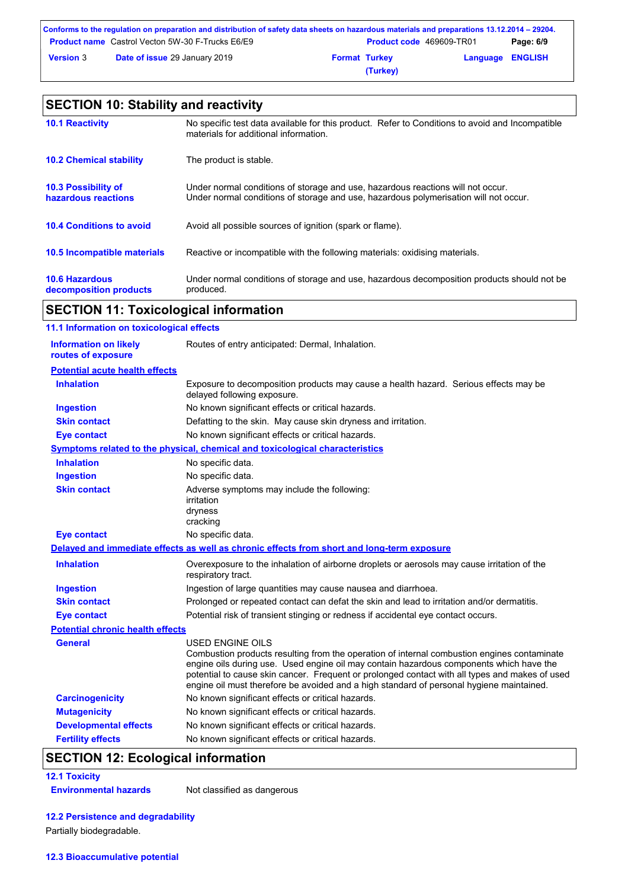|                  | Conforms to the regulation on preparation and distribution of safety data sheets on hazardous materials and preparations 13.12.2014 – 29204. |                      |                                 |                         |           |
|------------------|----------------------------------------------------------------------------------------------------------------------------------------------|----------------------|---------------------------------|-------------------------|-----------|
|                  | <b>Product name</b> Castrol Vecton 5W-30 F-Trucks E6/E9                                                                                      |                      | <b>Product code</b> 469609-TR01 |                         | Page: 6/9 |
| <b>Version 3</b> | <b>Date of issue 29 January 2019</b>                                                                                                         | <b>Format Turkey</b> |                                 | <b>Language ENGLISH</b> |           |
|                  |                                                                                                                                              |                      | (Turkey)                        |                         |           |

### **10.6 Hazardous decomposition products 10.4 Conditions to avoid** Avoid all possible sources of ignition (spark or flame). Under normal conditions of storage and use, hazardous decomposition products should not be produced. **10.2 Chemical stability** The product is stable. **10.5 Incompatible materials 10.3 Possibility of hazardous reactions** Under normal conditions of storage and use, hazardous reactions will not occur. Under normal conditions of storage and use, hazardous polymerisation will not occur. **SECTION 10: Stability and reactivity 10.1 Reactivity** No specific test data available for this product. Refer to Conditions to avoid and Incompatible materials for additional information. Reactive or incompatible with the following materials: oxidising materials.

### **SECTION 11: Toxicological information**

| 11.1 Information on toxicological effects          |                                                                                                                                                                                                                                                                                                                                                                                                                 |
|----------------------------------------------------|-----------------------------------------------------------------------------------------------------------------------------------------------------------------------------------------------------------------------------------------------------------------------------------------------------------------------------------------------------------------------------------------------------------------|
| <b>Information on likely</b><br>routes of exposure | Routes of entry anticipated: Dermal, Inhalation.                                                                                                                                                                                                                                                                                                                                                                |
| <b>Potential acute health effects</b>              |                                                                                                                                                                                                                                                                                                                                                                                                                 |
| <b>Inhalation</b>                                  | Exposure to decomposition products may cause a health hazard. Serious effects may be<br>delayed following exposure.                                                                                                                                                                                                                                                                                             |
| <b>Ingestion</b>                                   | No known significant effects or critical hazards.                                                                                                                                                                                                                                                                                                                                                               |
| <b>Skin contact</b>                                | Defatting to the skin. May cause skin dryness and irritation.                                                                                                                                                                                                                                                                                                                                                   |
| <b>Eye contact</b>                                 | No known significant effects or critical hazards.                                                                                                                                                                                                                                                                                                                                                               |
|                                                    | <b>Symptoms related to the physical, chemical and toxicological characteristics</b>                                                                                                                                                                                                                                                                                                                             |
| <b>Inhalation</b>                                  | No specific data.                                                                                                                                                                                                                                                                                                                                                                                               |
| <b>Ingestion</b>                                   | No specific data.                                                                                                                                                                                                                                                                                                                                                                                               |
| <b>Skin contact</b>                                | Adverse symptoms may include the following:<br>irritation<br>dryness<br>cracking                                                                                                                                                                                                                                                                                                                                |
| <b>Eye contact</b>                                 | No specific data.                                                                                                                                                                                                                                                                                                                                                                                               |
|                                                    | Delayed and immediate effects as well as chronic effects from short and long-term exposure                                                                                                                                                                                                                                                                                                                      |
| <b>Inhalation</b>                                  | Overexposure to the inhalation of airborne droplets or aerosols may cause irritation of the<br>respiratory tract.                                                                                                                                                                                                                                                                                               |
| <b>Ingestion</b>                                   | Ingestion of large quantities may cause nausea and diarrhoea.                                                                                                                                                                                                                                                                                                                                                   |
| <b>Skin contact</b>                                | Prolonged or repeated contact can defat the skin and lead to irritation and/or dermatitis.                                                                                                                                                                                                                                                                                                                      |
| <b>Eye contact</b>                                 | Potential risk of transient stinging or redness if accidental eye contact occurs.                                                                                                                                                                                                                                                                                                                               |
| <b>Potential chronic health effects</b>            |                                                                                                                                                                                                                                                                                                                                                                                                                 |
| <b>General</b>                                     | <b>USED ENGINE OILS</b><br>Combustion products resulting from the operation of internal combustion engines contaminate<br>engine oils during use. Used engine oil may contain hazardous components which have the<br>potential to cause skin cancer. Frequent or prolonged contact with all types and makes of used<br>engine oil must therefore be avoided and a high standard of personal hygiene maintained. |
| <b>Carcinogenicity</b>                             | No known significant effects or critical hazards.                                                                                                                                                                                                                                                                                                                                                               |
| <b>Mutagenicity</b>                                | No known significant effects or critical hazards.                                                                                                                                                                                                                                                                                                                                                               |
| <b>Developmental effects</b>                       | No known significant effects or critical hazards.                                                                                                                                                                                                                                                                                                                                                               |
| <b>Fertility effects</b>                           | No known significant effects or critical hazards.                                                                                                                                                                                                                                                                                                                                                               |

## **SECTION 12: Ecological information**

**12.1 Toxicity**

**Environmental hazards** Not classified as dangerous

**12.2 Persistence and degradability**

Partially biodegradable.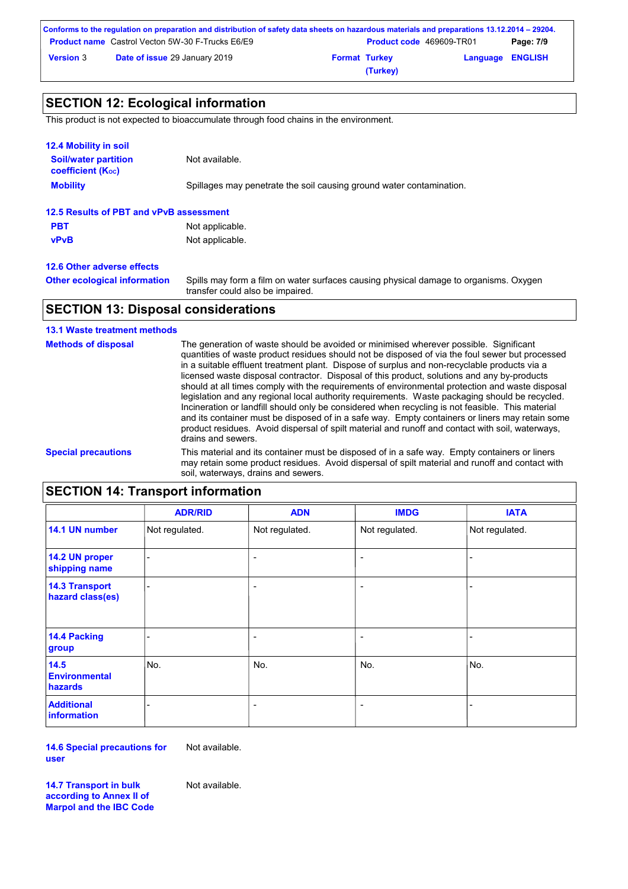|                  | Conforms to the regulation on preparation and distribution of safety data sheets on hazardous materials and preparations 13.12.2014 – 29204. |                      |                                 |                         |           |
|------------------|----------------------------------------------------------------------------------------------------------------------------------------------|----------------------|---------------------------------|-------------------------|-----------|
|                  | <b>Product name</b> Castrol Vecton 5W-30 F-Trucks E6/E9                                                                                      |                      | <b>Product code</b> 469609-TR01 |                         | Page: 7/9 |
| <b>Version 3</b> | <b>Date of issue 29 January 2019</b>                                                                                                         | <b>Format Turkey</b> |                                 | <b>Language ENGLISH</b> |           |
|                  |                                                                                                                                              |                      | (Turkey)                        |                         |           |

## **SECTION 12: Ecological information**

This product is not expected to bioaccumulate through food chains in the environment.

| 12.4 Mobility in soil                                   |                                                                      |
|---------------------------------------------------------|----------------------------------------------------------------------|
| <b>Soil/water partition</b><br><b>coefficient (Koc)</b> | Not available.                                                       |
| <b>Mobility</b>                                         | Spillages may penetrate the soil causing ground water contamination. |
| 12.5 Results of PBT and vPvB assessment                 |                                                                      |
| <b>PBT</b>                                              | Not applicable.                                                      |
| <b>vPvB</b>                                             | Not applicable.                                                      |
| 12.6 Other adverse effects                              |                                                                      |

**Other ecological information**

Spills may form a film on water surfaces causing physical damage to organisms. Oxygen transfer could also be impaired.

### **SECTION 13: Disposal considerations**

### **13.1 Waste treatment methods**

| <b>Methods of disposal</b> | The generation of waste should be avoided or minimised wherever possible. Significant<br>quantities of waste product residues should not be disposed of via the foul sewer but processed<br>in a suitable effluent treatment plant. Dispose of surplus and non-recyclable products via a<br>licensed waste disposal contractor. Disposal of this product, solutions and any by-products<br>should at all times comply with the requirements of environmental protection and waste disposal<br>legislation and any regional local authority requirements. Waste packaging should be recycled.<br>Incineration or landfill should only be considered when recycling is not feasible. This material<br>and its container must be disposed of in a safe way. Empty containers or liners may retain some<br>product residues. Avoid dispersal of spilt material and runoff and contact with soil, waterways,<br>drains and sewers. |
|----------------------------|-------------------------------------------------------------------------------------------------------------------------------------------------------------------------------------------------------------------------------------------------------------------------------------------------------------------------------------------------------------------------------------------------------------------------------------------------------------------------------------------------------------------------------------------------------------------------------------------------------------------------------------------------------------------------------------------------------------------------------------------------------------------------------------------------------------------------------------------------------------------------------------------------------------------------------|
| <b>Special precautions</b> | This material and its container must be disposed of in a safe way. Empty containers or liners<br>may retain some product residues. Avoid dispersal of spilt material and runoff and contact with<br>soil, waterways, drains and sewers.                                                                                                                                                                                                                                                                                                                                                                                                                                                                                                                                                                                                                                                                                       |

## **SECTION 14: Transport information**

|                                                | <b>ADR/RID</b> | <b>ADN</b>               | <b>IMDG</b>              | <b>IATA</b>    |
|------------------------------------------------|----------------|--------------------------|--------------------------|----------------|
| 14.1 UN number                                 | Not regulated. | Not regulated.           | Not regulated.           | Not regulated. |
| 14.2 UN proper<br>shipping name                |                | $\overline{\phantom{a}}$ | $\overline{\phantom{0}}$ |                |
| <b>14.3 Transport</b><br>hazard class(es)      |                | $\overline{\phantom{a}}$ | $\overline{\phantom{a}}$ |                |
| 14.4 Packing<br>group                          |                | $\overline{\phantom{a}}$ | $\overline{a}$           |                |
| 14.5<br><b>Environmental</b><br><b>hazards</b> | No.            | No.                      | No.                      | No.            |
| <b>Additional</b><br><b>information</b>        |                | $\overline{\phantom{a}}$ | $\overline{\phantom{0}}$ |                |

**14.6 Special precautions for user**

Not available.

**14.7 Transport in bulk according to Annex II of Marpol and the IBC Code** Not available.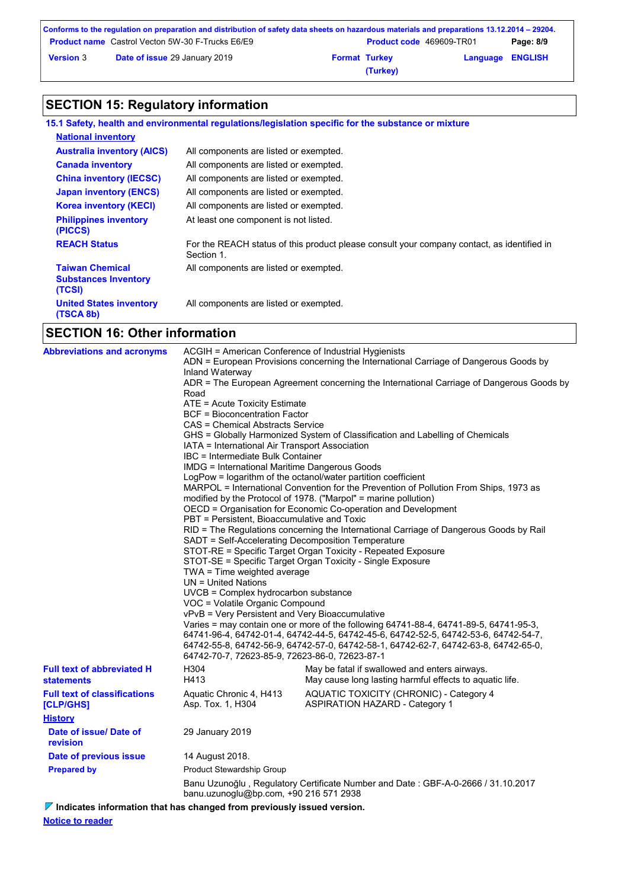|                  | Conforms to the regulation on preparation and distribution of safety data sheets on hazardous materials and preparations 13.12.2014 – 29204. |                      |                                 |                         |           |
|------------------|----------------------------------------------------------------------------------------------------------------------------------------------|----------------------|---------------------------------|-------------------------|-----------|
|                  | <b>Product name</b> Castrol Vecton 5W-30 F-Trucks E6/E9                                                                                      |                      | <b>Product code</b> 469609-TR01 |                         | Page: 8/9 |
| <b>Version 3</b> | <b>Date of issue 29 January 2019</b>                                                                                                         | <b>Format Turkey</b> |                                 | <b>Language ENGLISH</b> |           |
|                  |                                                                                                                                              |                      | (Turkey)                        |                         |           |

# **SECTION 15: Regulatory information**

|                                                                 | 15.1 Safety, health and environmental regulations/legislation specific for the substance or mixture      |
|-----------------------------------------------------------------|----------------------------------------------------------------------------------------------------------|
| <b>National inventory</b>                                       |                                                                                                          |
| <b>Australia inventory (AICS)</b>                               | All components are listed or exempted.                                                                   |
| <b>Canada inventory</b>                                         | All components are listed or exempted.                                                                   |
| <b>China inventory (IECSC)</b>                                  | All components are listed or exempted.                                                                   |
| <b>Japan inventory (ENCS)</b>                                   | All components are listed or exempted.                                                                   |
| <b>Korea inventory (KECI)</b>                                   | All components are listed or exempted.                                                                   |
| <b>Philippines inventory</b><br>(PICCS)                         | At least one component is not listed.                                                                    |
| <b>REACH Status</b>                                             | For the REACH status of this product please consult your company contact, as identified in<br>Section 1. |
| <b>Taiwan Chemical</b><br><b>Substances Inventory</b><br>(TCSI) | All components are listed or exempted.                                                                   |
| <b>United States inventory</b><br>(TSCA 8b)                     | All components are listed or exempted.                                                                   |
| -------- <i>-</i> -----                                         |                                                                                                          |

## **SECTION 16: Other information**

| <b>Abbreviations and acronyms</b>                      | ACGIH = American Conference of Industrial Hygienists<br>ADN = European Provisions concerning the International Carriage of Dangerous Goods by<br>Inland Waterway<br>ADR = The European Agreement concerning the International Carriage of Dangerous Goods by<br>Road<br>ATE = Acute Toxicity Estimate<br><b>BCF = Bioconcentration Factor</b><br>CAS = Chemical Abstracts Service<br>GHS = Globally Harmonized System of Classification and Labelling of Chemicals<br>IATA = International Air Transport Association<br>IBC = Intermediate Bulk Container<br><b>IMDG = International Maritime Dangerous Goods</b><br>LogPow = logarithm of the octanol/water partition coefficient<br>MARPOL = International Convention for the Prevention of Pollution From Ships, 1973 as<br>modified by the Protocol of 1978. ("Marpol" = marine pollution)<br>OECD = Organisation for Economic Co-operation and Development<br>PBT = Persistent, Bioaccumulative and Toxic<br>RID = The Regulations concerning the International Carriage of Dangerous Goods by Rail<br>SADT = Self-Accelerating Decomposition Temperature<br>STOT-RE = Specific Target Organ Toxicity - Repeated Exposure<br>STOT-SE = Specific Target Organ Toxicity - Single Exposure<br>TWA = Time weighted average<br>UN = United Nations<br>UVCB = Complex hydrocarbon substance |                                                                                                          |  |  |
|--------------------------------------------------------|--------------------------------------------------------------------------------------------------------------------------------------------------------------------------------------------------------------------------------------------------------------------------------------------------------------------------------------------------------------------------------------------------------------------------------------------------------------------------------------------------------------------------------------------------------------------------------------------------------------------------------------------------------------------------------------------------------------------------------------------------------------------------------------------------------------------------------------------------------------------------------------------------------------------------------------------------------------------------------------------------------------------------------------------------------------------------------------------------------------------------------------------------------------------------------------------------------------------------------------------------------------------------------------------------------------------------------------------|----------------------------------------------------------------------------------------------------------|--|--|
|                                                        | vPvB = Very Persistent and Very Bioaccumulative<br>Varies = may contain one or more of the following 64741-88-4, 64741-89-5, 64741-95-3,<br>64741-96-4, 64742-01-4, 64742-44-5, 64742-45-6, 64742-52-5, 64742-53-6, 64742-54-7,<br>64742-55-8, 64742-56-9, 64742-57-0, 64742-58-1, 64742-62-7, 64742-63-8, 64742-65-0,<br>64742-70-7, 72623-85-9, 72623-86-0, 72623-87-1                                                                                                                                                                                                                                                                                                                                                                                                                                                                                                                                                                                                                                                                                                                                                                                                                                                                                                                                                                   |                                                                                                          |  |  |
| <b>Full text of abbreviated H</b><br><b>statements</b> | H304<br>H413                                                                                                                                                                                                                                                                                                                                                                                                                                                                                                                                                                                                                                                                                                                                                                                                                                                                                                                                                                                                                                                                                                                                                                                                                                                                                                                               | May be fatal if swallowed and enters airways.<br>May cause long lasting harmful effects to aquatic life. |  |  |
| <b>Full text of classifications</b><br>[CLP/GHS]       | Aquatic Chronic 4, H413<br>Asp. Tox. 1, H304                                                                                                                                                                                                                                                                                                                                                                                                                                                                                                                                                                                                                                                                                                                                                                                                                                                                                                                                                                                                                                                                                                                                                                                                                                                                                               | AQUATIC TOXICITY (CHRONIC) - Category 4<br><b>ASPIRATION HAZARD - Category 1</b>                         |  |  |
| <b>History</b>                                         |                                                                                                                                                                                                                                                                                                                                                                                                                                                                                                                                                                                                                                                                                                                                                                                                                                                                                                                                                                                                                                                                                                                                                                                                                                                                                                                                            |                                                                                                          |  |  |
| Date of issue/ Date of<br>revision                     | 29 January 2019                                                                                                                                                                                                                                                                                                                                                                                                                                                                                                                                                                                                                                                                                                                                                                                                                                                                                                                                                                                                                                                                                                                                                                                                                                                                                                                            |                                                                                                          |  |  |
| Date of previous issue                                 | 14 August 2018.                                                                                                                                                                                                                                                                                                                                                                                                                                                                                                                                                                                                                                                                                                                                                                                                                                                                                                                                                                                                                                                                                                                                                                                                                                                                                                                            |                                                                                                          |  |  |
| <b>Prepared by</b>                                     | <b>Product Stewardship Group</b>                                                                                                                                                                                                                                                                                                                                                                                                                                                                                                                                                                                                                                                                                                                                                                                                                                                                                                                                                                                                                                                                                                                                                                                                                                                                                                           |                                                                                                          |  |  |
|                                                        | Banu Uzunoğlu, Regulatory Certificate Number and Date: GBF-A-0-2666 / 31.10.2017<br>banu.uzunoglu@bp.com, +90 216 571 2938                                                                                                                                                                                                                                                                                                                                                                                                                                                                                                                                                                                                                                                                                                                                                                                                                                                                                                                                                                                                                                                                                                                                                                                                                 |                                                                                                          |  |  |

**Indicates information that has changed from previously issued version.**

**Notice to reader**